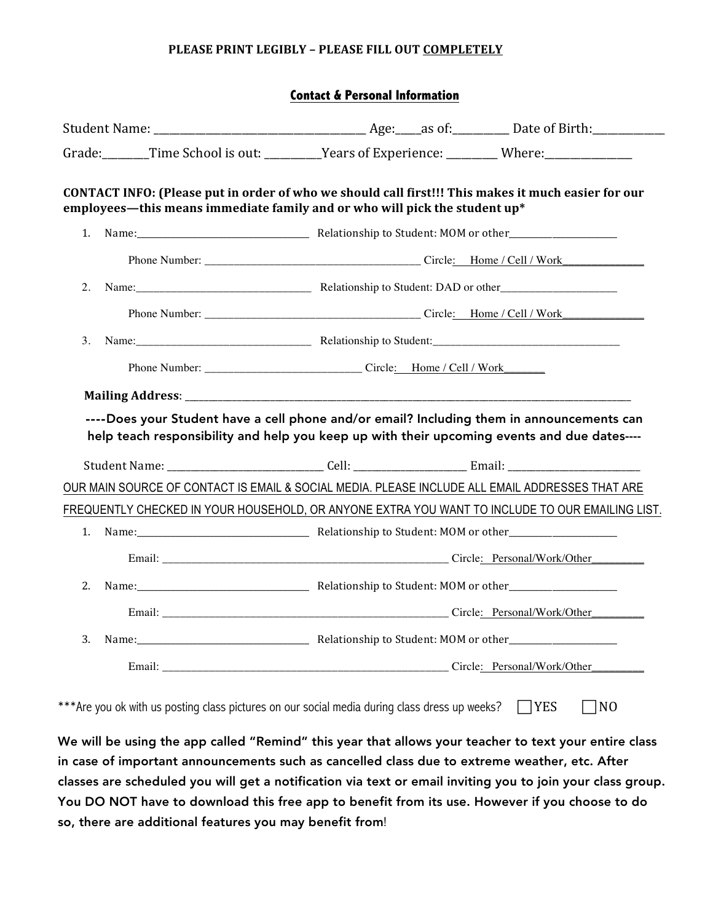## **PLEASE PRINT LEGIBLY - PLEASE FILL OUT COMPLETELY**

|--|

| Grade: Time School is out: ________Years of Experience: ________Where: Where:                                                                                                            |  |                                    |  |  |
|------------------------------------------------------------------------------------------------------------------------------------------------------------------------------------------|--|------------------------------------|--|--|
| CONTACT INFO: (Please put in order of who we should call first!!! This makes it much easier for our<br>employees—this means immediate family and or who will pick the student up*        |  |                                    |  |  |
| 1.                                                                                                                                                                                       |  |                                    |  |  |
|                                                                                                                                                                                          |  |                                    |  |  |
| 2.                                                                                                                                                                                       |  |                                    |  |  |
|                                                                                                                                                                                          |  |                                    |  |  |
| 3.                                                                                                                                                                                       |  |                                    |  |  |
|                                                                                                                                                                                          |  |                                    |  |  |
|                                                                                                                                                                                          |  |                                    |  |  |
| ----Does your Student have a cell phone and/or email? Including them in announcements can<br>help teach responsibility and help you keep up with their upcoming events and due dates---- |  |                                    |  |  |
|                                                                                                                                                                                          |  |                                    |  |  |
| OUR MAIN SOURCE OF CONTACT IS EMAIL & SOCIAL MEDIA. PLEASE INCLUDE ALL EMAIL ADDRESSES THAT ARE                                                                                          |  |                                    |  |  |
| FREQUENTLY CHECKED IN YOUR HOUSEHOLD, OR ANYONE EXTRA YOU WANT TO INCLUDE TO OUR EMAILING LIST.                                                                                          |  |                                    |  |  |
| 1.                                                                                                                                                                                       |  |                                    |  |  |
|                                                                                                                                                                                          |  |                                    |  |  |
| 2.                                                                                                                                                                                       |  |                                    |  |  |
|                                                                                                                                                                                          |  | Email: Circle: Personal/Work/Other |  |  |
| 3.                                                                                                                                                                                       |  |                                    |  |  |
|                                                                                                                                                                                          |  | Email: Circle: Personal/Work/Other |  |  |
| ***Are you ok with us posting class pictures on our social media during class dress up weeks?                                                                                            |  | $\Box$ YES<br>$\neg$ NO            |  |  |

We will be using the app called "Remind" this year that allows your teacher to text your entire class in case of important announcements such as cancelled class due to extreme weather, etc. After classes are scheduled you will get a notification via text or email inviting you to join your class group. You DO NOT have to download this free app to benefit from its use. However if you choose to do so, there are additional features you may benefit from!